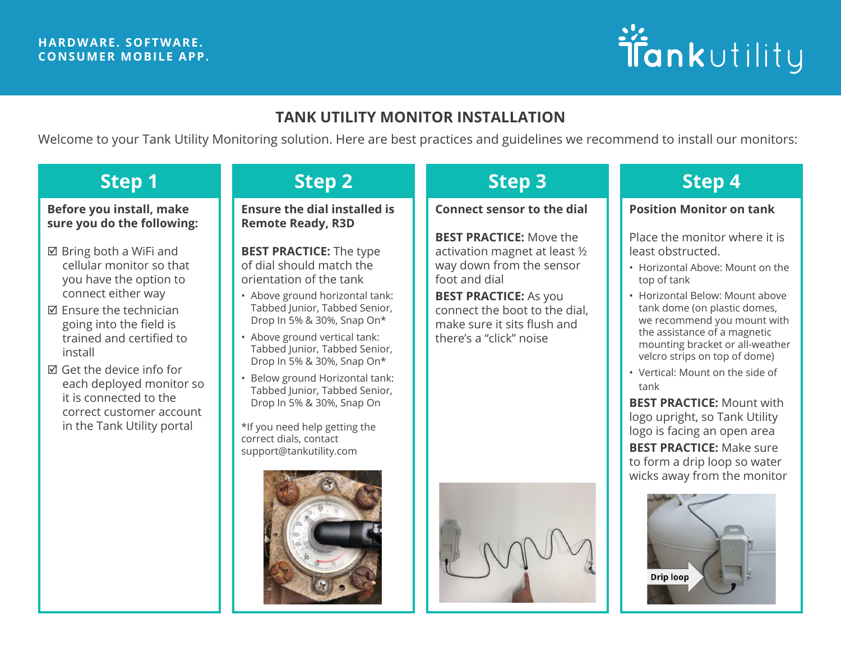### **HARDWARE. SOFTWARE. CONSUMER MOBILE APP.**

# ifankutility

# **TANK UTILITY MONITOR INSTALLATION**

Welcome to your Tank Utility Monitoring solution. Here are best practices and guidelines we recommend to install our monitors:

### **Before you install, make sure you do the following:**

- $\boxtimes$  Bring both a WiFi and cellular monitor so that you have the option to connect either way
- $\boxtimes$  Ensure the technician going into the field is trained and certified to install
- $\boxtimes$  Get the device info for each deployed monitor so it is connected to the correct customer account in the Tank Utility portal

**Ensure the dial installed is Remote Ready, R3D**

**BEST PRACTICE:** The type of dial should match the orientation of the tank

- Above ground horizontal tank: Tabbed Junior, Tabbed Senior, Drop In 5% & 30%, Snap On\*
- Above ground vertical tank: Tabbed Junior, Tabbed Senior, Drop In 5% & 30%, Snap On\*
- Below ground Horizontal tank: Tabbed Junior, Tabbed Senior, Drop In 5% & 30%, Snap On

\*If you need help getting the correct dials, contact support@tankutility.com



# **Step 1 Step 2 Step 3 Step 4**

**Connect sensor to the dial**

**BEST PRACTICE:** Move the activation magnet at least ½ way down from the sensor foot and dial

**BEST PRACTICE:** As you connect the boot to the dial, make sure it sits flush and there's a "click" noise



## **Position Monitor on tank**

Place the monitor where it is least obstructed.

- Horizontal Above: Mount on the top of tank
- Horizontal Below: Mount above tank dome (on plastic domes, we recommend you mount with the assistance of a magnetic mounting bracket or all-weather velcro strips on top of dome)
- Vertical: Mount on the side of tank

**BEST PRACTICE:** Mount with logo upright, so Tank Utility logo is facing an open area **BEST PRACTICE:** Make sure to form a drip loop so water wicks away from the monitor